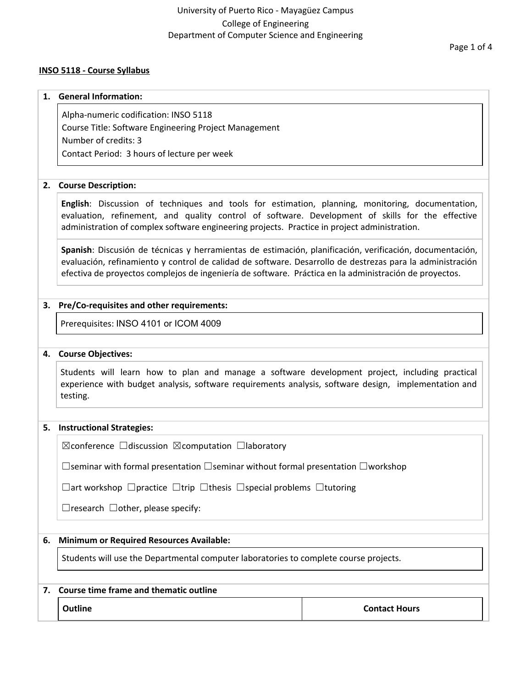#### **INSO 5118 - Course Syllabus**

#### **1. General Information:**

Alpha-numeric codification: INSO 5118 Course Title: Software Engineering Project Management Number of credits: 3 Contact Period: 3 hours of lecture per week

#### **2. Course Description:**

**English**: Discussion of techniques and tools for estimation, planning, monitoring, documentation, evaluation, refinement, and quality control of software. Development of skills for the effective administration of complex software engineering projects. Practice in project administration.

**Spanish**: Discusión de técnicas y herramientas de estimación, planificación, verificación, documentación, evaluación, refinamiento y control de calidad de software. Desarrollo de destrezas para la administración efectiva de proyectos complejos de ingeniería de software. Práctica en la administración de proyectos.

#### **3. Pre/Co-requisites and other requirements:**

Prerequisites: INSO 4101 or ICOM 4009

#### **4. Course Objectives:**

Students will learn how to plan and manage a software development project, including practical experience with budget analysis, software requirements analysis, software design, implementation and testing.

#### **5. Instructional Strategies:**

☒conference ☐discussion ☒computation ☐laboratory

☐seminar with formal presentation ☐seminar without formal presentation ☐workshop

☐art workshop ☐practice ☐trip ☐thesis ☐special problems ☐tutoring

 $\Box$ research  $\Box$ other, please specify:

#### **6. Minimum or Required Resources Available:**

Students will use the Departmental computer laboratories to complete course projects.

### **7. Course time frame and thematic outline**

**Outline Contact Hours**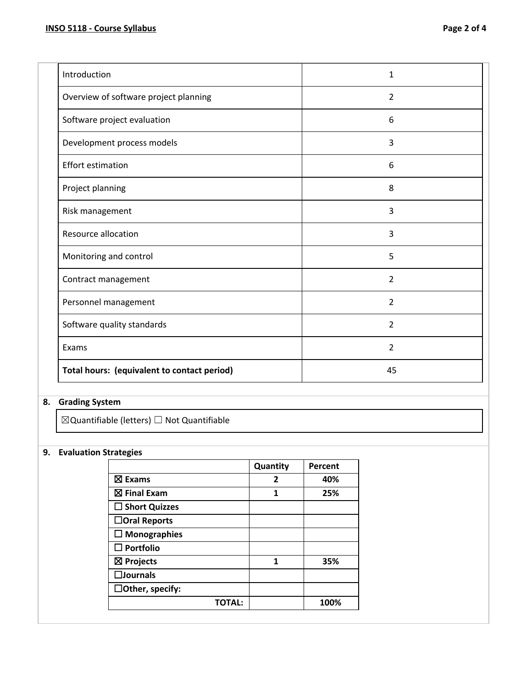| Introduction                                | $\mathbf 1$    |
|---------------------------------------------|----------------|
| Overview of software project planning       | $\overline{2}$ |
| Software project evaluation                 | 6              |
| Development process models                  | 3              |
| <b>Effort estimation</b>                    | 6              |
| Project planning                            | 8              |
| Risk management                             | $\overline{3}$ |
| <b>Resource allocation</b>                  | 3              |
| Monitoring and control                      | 5              |
| Contract management                         | $\overline{2}$ |
| Personnel management                        | 2              |
| Software quality standards                  | $\overline{2}$ |
| Exams                                       | $\overline{2}$ |
| Total hours: (equivalent to contact period) | 45             |

# **8. Grading System**

 $\boxtimes$ Quantifiable (letters)  $\Box$  Not Quantifiable

## **9. Evaluation Strategies**

|                        | Quantity | Percent |
|------------------------|----------|---------|
| ⊠ Exams                | 2        | 40%     |
| $\boxtimes$ Final Exam | 1        | 25%     |
| $\Box$ Short Quizzes   |          |         |
| $\Box$ Oral Reports    |          |         |
| $\Box$ Monographies    |          |         |
| $\Box$ Portfolio       |          |         |
| $\boxtimes$ Projects   | 1        | 35%     |
| $\square$ Journals     |          |         |
| $\Box$ Other, specify: |          |         |
| <b>TOTAL:</b>          |          | 100%    |